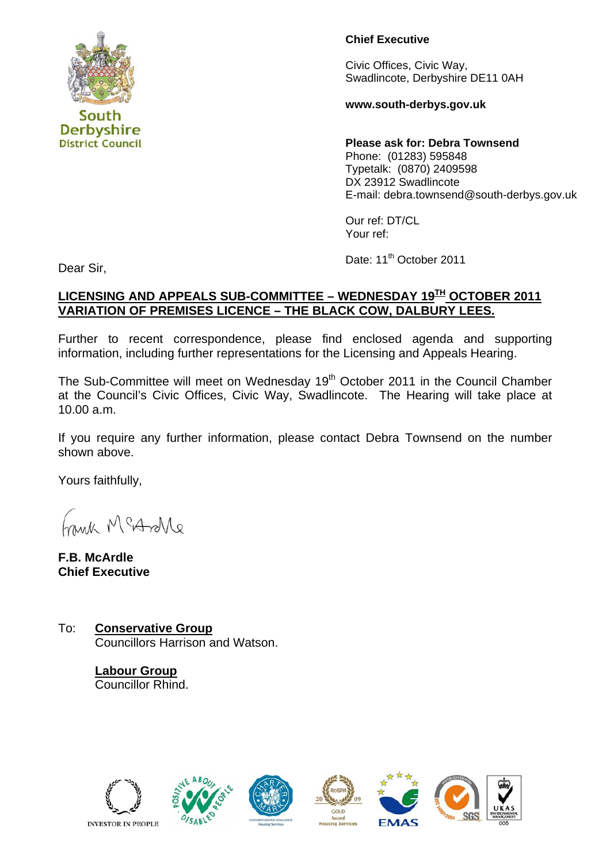

**District Council** 

**Derbyshire** 

#### **Chief Executive**

Civic Offices, Civic Way, Swadlincote, Derbyshire DE11 0AH

**www.south-derbys.gov.uk** 

**Please ask for: Debra Townsend**  Phone: (01283) 595848 Typetalk: (0870) 2409598 DX 23912 Swadlincote E-mail: debra.townsend@south-derbys.gov.uk

Our ref: DT/CL Your ref:

Dear Sir, **Dear Sir, 2011** Dear Sir,

### LICENSING AND APPEALS SUB-COMMITTEE - WEDNESDAY 19<sup>TH</sup> OCTOBER 2011 **VARIATION OF PREMISES LICENCE – THE BLACK COW, DALBURY LEES.**

Further to recent correspondence, please find enclosed agenda and supporting information, including further representations for the Licensing and Appeals Hearing.

The Sub-Committee will meet on Wednesday 19<sup>th</sup> October 2011 in the Council Chamber at the Council's Civic Offices, Civic Way, Swadlincote. The Hearing will take place at 10.00 a.m.

If you require any further information, please contact Debra Townsend on the number shown above.

Yours faithfully,

a Mars M Sim

**F.B. McArdle Chief Executive**

To: **Conservative Group** Councillors Harrison and Watson.

> **Labour Group** Councillor Rhind.